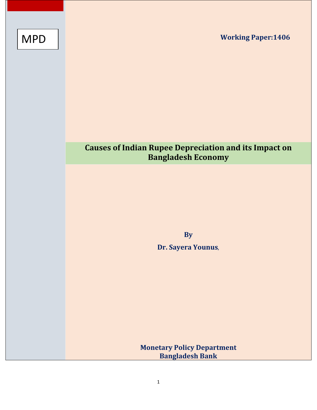**Working Paper:1406**

# MPD

## **Causes of Indian Rupee Depreciation and its Impact on Bangladesh Economy**

**By** 

**Dr. Sayera Younus**,

**Monetary Policy Department Bangladesh Bank**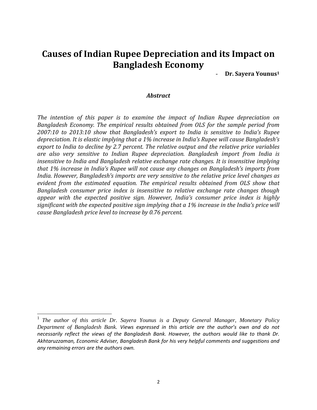### **Causes of Indian Rupee Depreciation and its Impact on Bangladesh Economy**

- **Dr. Sayera Younus1**

#### *Abstract*

*The intention of this paper is to examine the impact of Indian Rupee depreciation on Bangladesh Economy. The empirical results obtained from OLS for the sample period from 2007:10 to 2013:10 show that Bangladesh's export to India is sensitive to India's Rupee depreciation. It is elastic implying that a 1% increase in India's Rupee will cause Bangladesh's export to India to decline by 2.7 percent. The relative output and the relative price variables are also very sensitive to Indian Rupee depreciation. Bangladesh import from India is insensitive to India and Bangladesh relative exchange rate changes. It is insensitive implying that 1% increase in India's Rupee will not cause any changes on Bangladesh's imports from India. However, Bangladesh's imports are very sensitive to the relative price level changes as evident from the estimated equation. The empirical results obtained from OLS show that Bangladesh consumer price index is insensitive to relative exchange rate changes though appear with the expected positive sign. However, India's consumer price index is highly significant with the expected positive sign implying that a 1% increase in the India's price will cause Bangladesh price level to increase by 0.76 percent.* 

<sup>1</sup> *The author of this article Dr. Sayera Younus is a Deputy General Manager, Monetary Policy Department of Bangladesh Bank. Views expressed in this article are the author's own and do not necessarily reflect the views of the Bangladesh Bank. However, the authors would like to thank Dr. Akhtaruzzaman, Economic Adviser, Bangladesh Bank for his very helpful comments and suggestions and any remaining errors are the authors own.*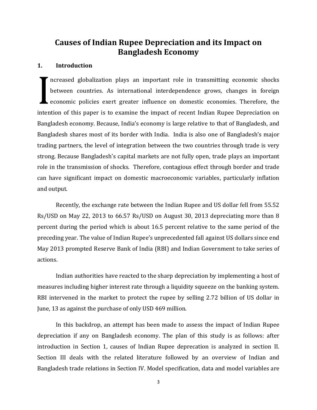### **Causes of Indian Rupee Depreciation and its Impact on Bangladesh Economy**

#### **1. Introduction**

ncreased globalization plays an important role in transmitting economic shocks between countries. As international interdependence grows, changes in foreign economic policies exert greater influence on domestic economies. Therefore, the intention of this paper is to examine the impact of recent Indian Rupee Depreciation on Bangladesh economy. Because, India's economy is large relative to that of Bangladesh, and Bangladesh shares most of its border with India. India is also one of Bangladesh's major trading partners, the level of integration between the two countries through trade is very strong. Because Bangladesh's capital markets are not fully open, trade plays an important role in the transmission of shocks. Therefore, contagious effect through border and trade can have significant impact on domestic macroeconomic variables, particularly inflation and output.

Recently, the exchange rate between the Indian Rupee and US dollar fell from 55.52 Rs/USD on May 22, 2013 to 66.57 Rs/USD on August 30, 2013 depreciating more than 8 percent during the period which is about 16.5 percent relative to the same period of the preceding year. The value of Indian Rupee's unprecedented fall against US dollars since end May 2013 prompted Reserve Bank of India (RBI) and Indian Government to take series of actions.

Indian authorities have reacted to the sharp depreciation by implementing a host of measures including higher interest rate through a liquidity squeeze on the banking system. RBI intervened in the market to protect the rupee by selling 2.72 billion of US dollar in June, 13 as against the purchase of only USD 469 million.

In this backdrop, an attempt has been made to assess the impact of Indian Rupee depreciation if any on Bangladesh economy. The plan of this study is as follows: after introduction in Section 1, causes of Indian Rupee deprecation is analyzed in section II. Section III deals with the related literature followed by an overview of Indian and Bangladesh trade relations in Section IV. Model specification, data and model variables are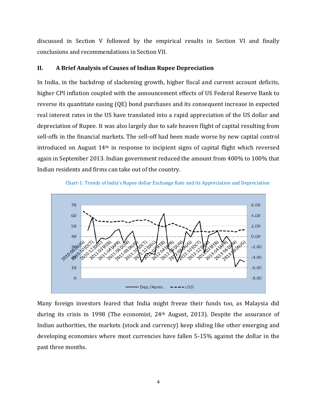discussed in Section V followed by the empirical results in Section VI and finally conclusions and recommendations in Section VII.

#### **II. A Brief Analysis of Causes of Indian Rupee Depreciation**

In India, in the backdrop of slackening growth, higher fiscal and current account deficits, higher CPI inflation coupled with the announcement effects of US Federal Reserve Bank to reverse its quantitate easing (QE) bond purchases and its consequent increase in expected real interest rates in the US have translated into a rapid appreciation of the US dollar and depreciation of Rupee. It was also largely due to safe heaven flight of capital resulting from sell-offs in the financial markets. The sell-off had been made worse by new capital control introduced on August 14<sup>th</sup> in response to incipient signs of capital flight which reversed again in September 2013. Indian government reduced the amount from 400% to 100% that Indian residents and firms can take out of the country.





Many foreign investors feared that India might freeze their funds too, as Malaysia did during its crisis in 1998 (The economist, 24<sup>th</sup> August, 2013). Despite the assurance of Indian authorities, the markets (stock and currency) keep sliding like other emerging and developing economies where most currencies have fallen 5‐15% against the dollar in the past three months.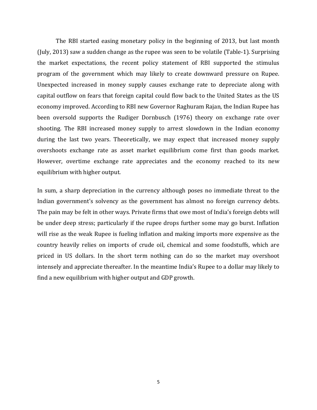The RBI started easing monetary policy in the beginning of 2013, but last month (July, 2013) saw a sudden change as the rupee was seen to be volatile (Table‐1). Surprising the market expectations, the recent policy statement of RBI supported the stimulus program of the government which may likely to create downward pressure on Rupee. Unexpected increased in money supply causes exchange rate to depreciate along with capital outflow on fears that foreign capital could flow back to the United States as the US economy improved. According to RBI new Governor Raghuram Rajan, the Indian Rupee has been oversold supports the Rudiger Dornbusch (1976) theory on exchange rate over shooting. The RBI increased money supply to arrest slowdown in the Indian economy during the last two years. Theoretically, we may expect that increased money supply overshoots exchange rate as asset market equilibrium come first than goods market. However, overtime exchange rate appreciates and the economy reached to its new equilibrium with higher output.

In sum, a sharp depreciation in the currency although poses no immediate threat to the Indian government's solvency as the government has almost no foreign currency debts. The pain may be felt in other ways. Private firms that owe most of India's foreign debts will be under deep stress; particularly if the rupee drops further some may go burst. Inflation will rise as the weak Rupee is fueling inflation and making imports more expensive as the country heavily relies on imports of crude oil, chemical and some foodstuffs, which are priced in US dollars. In the short term nothing can do so the market may overshoot intensely and appreciate thereafter. In the meantime India's Rupee to a dollar may likely to find a new equilibrium with higher output and GDP growth.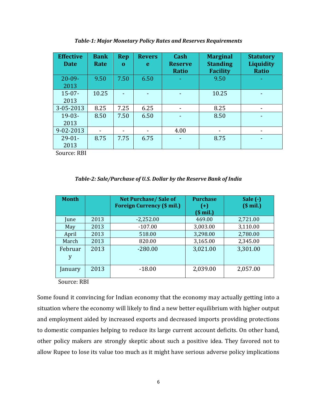| <b>Effective</b><br><b>Date</b> | <b>Bank</b><br>Rate | <b>Rep</b><br>$\mathbf{0}$ | <b>Revers</b><br>e | Cash<br><b>Reserve</b><br><b>Ratio</b> | <b>Marginal</b><br><b>Standing</b><br><b>Facility</b> | <b>Statutory</b><br><b>Liquidity</b><br><b>Ratio</b> |
|---------------------------------|---------------------|----------------------------|--------------------|----------------------------------------|-------------------------------------------------------|------------------------------------------------------|
| $20 - 09 -$<br>2013             | 9.50                | 7.50                       | 6.50               |                                        | 9.50                                                  |                                                      |
| $15 - 07 -$<br>2013             | 10.25               |                            |                    |                                        | 10.25                                                 |                                                      |
| 3-05-2013                       | 8.25                | 7.25                       | 6.25               | ۰                                      | 8.25                                                  |                                                      |
| $19-03-$<br>2013                | 8.50                | 7.50                       | 6.50               |                                        | 8.50                                                  |                                                      |
| 9-02-2013                       |                     |                            |                    | 4.00                                   | $\overline{\phantom{a}}$                              |                                                      |
| $29-01-$<br>2013                | 8.75                | 7.75                       | 6.75               |                                        | 8.75                                                  |                                                      |

*Table1: Major Monetary Policy Rates and Reserves Requirements*

Source: RBI

#### *Table2: Sale/Purchase of U.S. Dollar by the Reserve Bank of India*

| <b>Month</b>   |      | <b>Net Purchase/Sale of</b><br><b>Foreign Currency (\$ mil.)</b> | <b>Purchase</b><br>$(+)$<br>$$$ mil.) | Sale $(-)$<br>$$$ mil.) |
|----------------|------|------------------------------------------------------------------|---------------------------------------|-------------------------|
| <i>lune</i>    | 2013 | $-2,252.00$                                                      | 469.00                                | 2,721.00                |
| May            | 2013 | $-107.00$                                                        | 3,003.00                              | 3,110.00                |
| April          | 2013 | 518.00                                                           | 3,298.00                              | 2,780.00                |
| March          | 2013 | 820.00                                                           | 3,165.00                              | 2,345.00                |
| Februar<br>y   | 2013 | $-280.00$                                                        | 3,021.00                              | 3,301.00                |
| <b>January</b> | 2013 | $-18.00$                                                         | 2,039.00                              | 2,057.00                |

Source: RBI

Some found it convincing for Indian economy that the economy may actually getting into a situation where the economy will likely to find a new better equilibrium with higher output and employment aided by increased exports and decreased imports providing protections to domestic companies helping to reduce its large current account deficits. On other hand, other policy makers are strongly skeptic about such a positive idea. They favored not to allow Rupee to lose its value too much as it might have serious adverse policy implications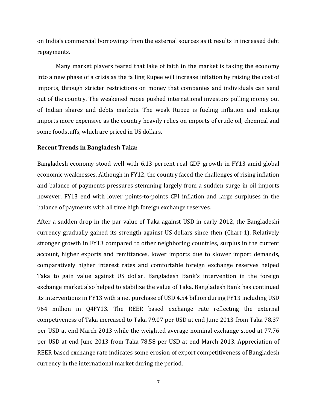on India's commercial borrowings from the external sources as it results in increased debt repayments.

Many market players feared that lake of faith in the market is taking the economy into a new phase of a crisis as the falling Rupee will increase inflation by raising the cost of imports, through stricter restrictions on money that companies and individuals can send out of the country. The weakened rupee pushed international investors pulling money out of Indian shares and debts markets. The weak Rupee is fueling inflation and making imports more expensive as the country heavily relies on imports of crude oil, chemical and some foodstuffs, which are priced in US dollars.

#### **Recent Trends in Bangladesh Taka:**

Bangladesh economy stood well with 6.13 percent real GDP growth in FY13 amid global economic weaknesses. Although in FY12, the country faced the challenges of rising inflation and balance of payments pressures stemming largely from a sudden surge in oil imports however, FY13 end with lower points-to-points CPI inflation and large surpluses in the balance of payments with all time high foreign exchange reserves.

After a sudden drop in the par value of Taka against USD in early 2012, the Bangladeshi currency gradually gained its strength against US dollars since then (Chart‐1). Relatively stronger growth in FY13 compared to other neighboring countries, surplus in the current account, higher exports and remittances, lower imports due to slower import demands, comparatively higher interest rates and comfortable foreign exchange reserves helped Taka to gain value against US dollar. Bangladesh Bank's intervention in the foreign exchange market also helped to stabilize the value of Taka. Bangladesh Bank has continued its interventions in FY13 with a net purchase of USD 4.54 billion during FY13 including USD 964 million in Q4FY13. The REER based exchange rate reflecting the external competiveness of Taka increased to Taka 79.07 per USD at end June 2013 from Taka 78.37 per USD at end March 2013 while the weighted average nominal exchange stood at 77.76 per USD at end June 2013 from Taka 78.58 per USD at end March 2013. Appreciation of REER based exchange rate indicates some erosion of export competitiveness of Bangladesh currency in the international market during the period.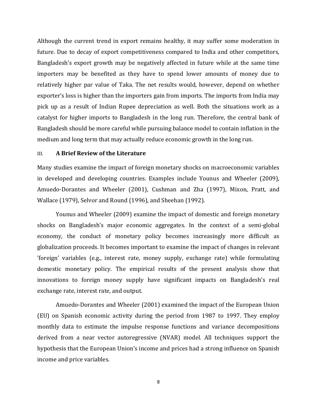Although the current trend in export remains healthy, it may suffer some moderation in future. Due to decay of export competitiveness compared to India and other competitors, Bangladesh's export growth may be negatively affected in future while at the same time importers may be benefited as they have to spend lower amounts of money due to relatively higher par value of Taka. The net results would, however, depend on whether exporter's loss is higher than the importers gain from imports. The imports from India may pick up as a result of Indian Rupee depreciation as well. Both the situations work as a catalyst for higher imports to Bangladesh in the long run. Therefore, the central bank of Bangladesh should be more careful while pursuing balance model to contain inflation in the medium and long term that may actually reduce economic growth in the long run.

#### III. **A Brief Review of the Literature**

Many studies examine the impact of foreign monetary shocks on macroeconomic variables in developed and developing countries. Examples include Younus and Wheeler (2009), Amuedo‐Dorantes and Wheeler (2001), Cushman and Zha (1997), Mixon, Pratt, and Wallace (1979), Selvor and Round (1996), and Sheehan (1992).

Younus and Wheeler (2009) examine the impact of domestic and foreign monetary shocks on Bangladesh's major economic aggregates. In the context of a semi‐global economy, the conduct of monetary policy becomes increasingly more difficult as globalization proceeds. It becomes important to examine the impact of changes in relevant 'foreign' variables (e.g., interest rate, money supply, exchange rate) while formulating domestic monetary policy. The empirical results of the present analysis show that innovations to foreign money supply have significant impacts on Bangladesh's real exchange rate, interest rate, and output.

Amuedo‐Dorantes and Wheeler (2001) examined the impact of the European Union (EU) on Spanish economic activity during the period from 1987 to 1997. They employ monthly data to estimate the impulse response functions and variance decompositions derived from a near vector autoregressive (NVAR) model. All techniques support the hypothesis that the European Union's income and prices had a strong influence on Spanish income and price variables.

8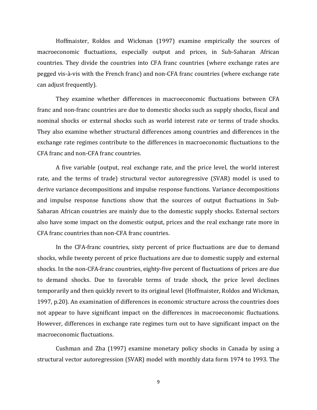Hoffmaister, Roldos and Wickman (1997) examine empirically the sources of macroeconomic fluctuations, especially output and prices, in Sub‐Saharan African countries. They divide the countries into CFA franc countries (where exchange rates are pegged vis‐à‐vis with the French franc) and non‐CFA franc countries (where exchange rate can adjust frequently).

They examine whether differences in macroeconomic fluctuations between CFA franc and non‐franc countries are due to domestic shocks such as supply shocks, fiscal and nominal shocks or external shocks such as world interest rate or terms of trade shocks. They also examine whether structural differences among countries and differences in the exchange rate regimes contribute to the differences in macroeconomic fluctuations to the CFA franc and non‐CFA franc countries.

A five variable (output, real exchange rate, and the price level, the world interest rate, and the terms of trade) structural vector autoregressive (SVAR) model is used to derive variance decompositions and impulse response functions. Variance decompositions and impulse response functions show that the sources of output fluctuations in Sub-Saharan African countries are mainly due to the domestic supply shocks. External sectors also have some impact on the domestic output, prices and the real exchange rate more in CFA franc countries than non‐CFA franc countries.

In the CFA-franc countries, sixty percent of price fluctuations are due to demand shocks, while twenty percent of price fluctuations are due to domestic supply and external shocks. In the non‐CFA‐franc countries, eighty‐five percent of fluctuations of prices are due to demand shocks. Due to favorable terms of trade shock, the price level declines temporarily and then quickly revert to its original level (Hoffmaister, Roldos and Wickman, 1997, p.20). An examination of differences in economic structure across the countries does not appear to have significant impact on the differences in macroeconomic fluctuations. However, differences in exchange rate regimes turn out to have significant impact on the macroeconomic fluctuations.

Cushman and Zha (1997) examine monetary policy shocks in Canada by using a structural vector autoregression (SVAR) model with monthly data form 1974 to 1993. The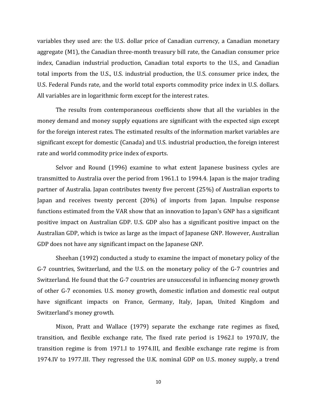variables they used are: the U.S. dollar price of Canadian currency, a Canadian monetary aggregate (M1), the Canadian three‐month treasury bill rate, the Canadian consumer price index, Canadian industrial production, Canadian total exports to the U.S., and Canadian total imports from the U.S., U.S. industrial production, the U.S. consumer price index, the U.S. Federal Funds rate, and the world total exports commodity price index in U.S. dollars. All variables are in logarithmic form except for the interest rates.

The results from contemporaneous coefficients show that all the variables in the money demand and money supply equations are significant with the expected sign except for the foreign interest rates. The estimated results of the information market variables are significant except for domestic (Canada) and U.S. industrial production, the foreign interest rate and world commodity price index of exports.

Selvor and Round (1996) examine to what extent Japanese business cycles are transmitted to Australia over the period from 1961.1 to 1994.4. Japan is the major trading partner of Australia. Japan contributes twenty five percent (25%) of Australian exports to Japan and receives twenty percent (20%) of imports from Japan. Impulse response functions estimated from the VAR show that an innovation to Japan's GNP has a significant positive impact on Australian GDP. U.S. GDP also has a significant positive impact on the Australian GDP, which is twice as large as the impact of Japanese GNP. However, Australian GDP does not have any significant impact on the Japanese GNP.

Sheehan (1992) conducted a study to examine the impact of monetary policy of the G‐7 countries, Switzerland, and the U.S. on the monetary policy of the G‐7 countries and Switzerland. He found that the G‐7 countries are unsuccessful in influencing money growth of other G‐7 economies. U.S. money growth, domestic inflation and domestic real output have significant impacts on France, Germany, Italy, Japan, United Kingdom and Switzerland's money growth.

Mixon, Pratt and Wallace (1979) separate the exchange rate regimes as fixed, transition, and flexible exchange rate, The fixed rate period is 1962.I to 1970.IV, the transition regime is from 1971.I to 1974.III, and flexible exchange rate regime is from 1974.IV to 1977.III. They regressed the U.K. nominal GDP on U.S. money supply, a trend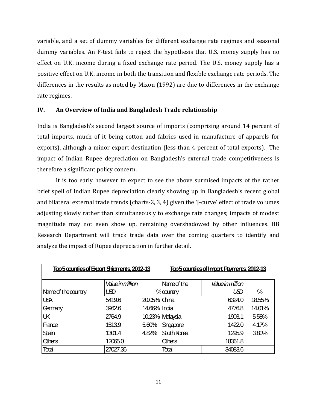variable, and a set of dummy variables for different exchange rate regimes and seasonal dummy variables. An F-test fails to reject the hypothesis that U.S. money supply has no effect on U.K. income during a fixed exchange rate period. The U.S. money supply has a positive effect on U.K. income in both the transition and flexible exchange rate periods. The differences in the results as noted by Mixon (1992) are due to differences in the exchange rate regimes.

#### **IV. An Overview of India and Bangladesh Trade relationship**

India is Bangladesh's second largest source of imports (comprising around 14 percent of total imports, much of it being cotton and fabrics used in manufacture of apparels for exports), although a minor export destination (less than 4 percent of total exports). The impact of Indian Rupee depreciation on Bangladesh's external trade competitiveness is therefore a significant policy concern.

It is too early however to expect to see the above surmised impacts of the rather brief spell of Indian Rupee depreciation clearly showing up in Bangladesh's recent global and bilateral external trade trends (charts‐2, 3, 4) given the 'J‐curve' effect of trade volumes adjusting slowly rather than simultaneously to exchange rate changes; impacts of modest magnitude may not even show up, remaining overshadowed by other influences. BB Research Department will track trade data over the coming quarters to identify and analyze the impact of Rupee depreciation in further detail.

| <u>Tap5 counties of Export Shipments, 2012-13</u> |                        |              | Tap5 counties of Import Payments, 2012-13 |                 |        |  |
|---------------------------------------------------|------------------------|--------------|-------------------------------------------|-----------------|--------|--|
|                                                   | <b>Valuein million</b> |              | Name of the                               | Valuein million |        |  |
| Name of the country                               | ம                      |              | % country                                 | LSD             | %      |  |
| <b>USA</b>                                        | 5419.6                 | 20.05% China |                                           | 6324.0          | 18.55% |  |
| Germany                                           | 3962.6                 | 14.66% India |                                           | 4776.8          | 14.01% |  |
| UK                                                | 2764.9                 |              | 10.23% Maysia                             | 1903.1          | 5.58%  |  |
| France                                            | 1513.9                 | 5.60%        | Singapore                                 | 1422.0          | 4.17%  |  |
| Spain                                             | 1301.4                 | 4.82%        | South Korea                               | 1295.9          | 3.80%  |  |
| <b>Cthers</b>                                     | 12065.0                |              | <b>Chers</b>                              | 18361.8         |        |  |
| Total                                             | 27027.36               |              | Total                                     | 34083.6         |        |  |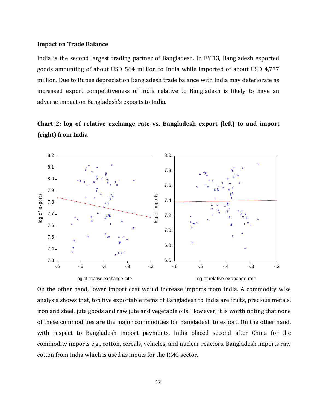#### **Impact on Trade Balance**

India is the second largest trading partner of Bangladesh. In FY'13, Bangladesh exported goods amounting of about USD 564 million to India while imported of about USD 4,777 million. Due to Rupee depreciation Bangladesh trade balance with India may deteriorate as increased export competitiveness of India relative to Bangladesh is likely to have an adverse impact on Bangladesh's exports to India.





On the other hand, lower import cost would increase imports from India. A commodity wise analysis shows that, top five exportable items of Bangladesh to India are fruits, precious metals, iron and steel, jute goods and raw jute and vegetable oils. However, it is worth noting that none of these commodities are the major commodities for Bangladesh to export. On the other hand, with respect to Bangladesh import payments, India placed second after China for the commodity imports e.g., cotton, cereals, vehicles, and nuclear reactors. Bangladesh imports raw cotton from India which is used as inputs for the RMG sector.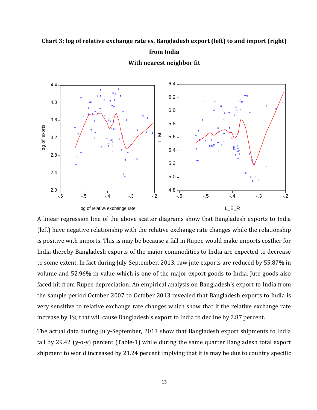### **Chart 3: log of relative exchange rate vs. Bangladesh export (left) to and import (right) from India**



**With nearest neighbor fit**

A linear regression line of the above scatter diagrams show that Bangladesh exports to India (left) have negative relationship with the relative exchange rate changes while the relationship is positive with imports. This is may be because a fall in Rupee would make imports costlier for India thereby Bangladesh exports of the major commodities to India are expected to decrease to some extent. In fact during July‐September, 2013, raw jute exports are reduced by 55.87% in volume and 52.96% in value which is one of the major export goods to India. Jute goods also faced hit from Rupee depreciation. An empirical analysis on Bangladesh's export to India from the sample period October 2007 to October 2013 revealed that Bangladesh exports to India is very sensitive to relative exchange rate changes which show that if the relative exchange rate increase by 1% that will cause Bangladesh's export to India to decline by 2.87 percent.

The actual data during July-September, 2013 show that Bangladesh export shipments to India fall by 29.42 (y-o-y) percent (Table-1) while during the same quarter Bangladesh total export shipment to world increased by 21.24 percent implying that it is may be due to country specific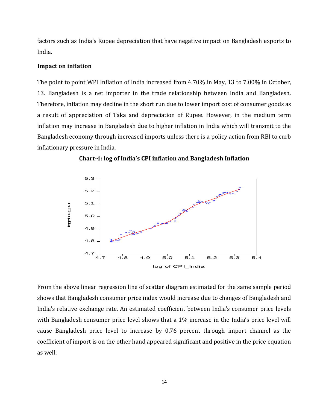factors such as India's Rupee depreciation that have negative impact on Bangladesh exports to India.

#### **Impact on inflation**

The point to point WPI Inflation of India increased from 4.70% in May, 13 to 7.00% in October, 13. Bangladesh is a net importer in the trade relationship between India and Bangladesh. Therefore, inflation may decline in the short run due to lower import cost of consumer goods as a result of appreciation of Taka and depreciation of Rupee. However, in the medium term inflation may increase in Bangladesh due to higher inflation in India which will transmit to the Bangladesh economy through increased imports unless there is a policy action from RBI to curb inflationary pressure in India.





From the above linear regression line of scatter diagram estimated for the same sample period shows that Bangladesh consumer price index would increase due to changes of Bangladesh and India's relative exchange rate. An estimated coefficient between India's consumer price levels with Bangladesh consumer price level shows that a 1% increase in the India's price level will cause Bangladesh price level to increase by 0.76 percent through import channel as the coefficient of import is on the other hand appeared significant and positive in the price equation as well.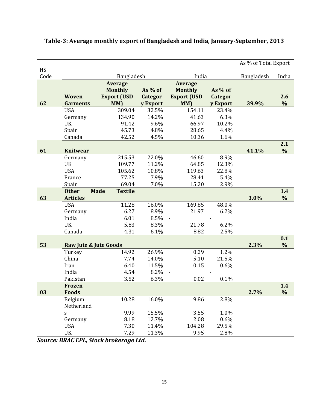|            |                       |                               |          |                    |          | As % of Total Export |               |
|------------|-----------------------|-------------------------------|----------|--------------------|----------|----------------------|---------------|
| HS<br>Code |                       |                               |          | India              |          | Bangladesh           | India         |
|            |                       | Bangladesh<br><b>Average</b>  |          | <b>Average</b>     |          |                      |               |
|            |                       | <b>Monthly</b>                | As % of  | <b>Monthly</b>     | As % of  |                      |               |
|            | Woven                 | <b>Export (USD</b>            | Categor  | <b>Export (USD</b> | Categor  |                      | 2.6           |
| 62         | <b>Garments</b>       | MM)                           | y Export | MM)                | y Export | 39.9%                | $\frac{0}{0}$ |
|            | <b>USA</b>            | 309.04                        | 32.5%    | 154.11             | 23.4%    |                      |               |
|            | Germany               | 134.90                        | 14.2%    | 41.63              | 6.3%     |                      |               |
|            | <b>UK</b>             | 91.42                         | 9.6%     | 66.97              | 10.2%    |                      |               |
|            | Spain                 | 45.73                         | 4.8%     | 28.65              | 4.4%     |                      |               |
|            | Canada                | 42.52                         | 4.5%     | 10.36              | 1.6%     |                      |               |
|            |                       |                               |          |                    |          |                      | 2.1           |
| 61         | <b>Knitwear</b>       |                               |          |                    |          | 41.1%                | $\frac{0}{0}$ |
|            | Germany               | 215.53                        | 22.0%    | 46.60              | 8.9%     |                      |               |
|            | UK                    | 109.77                        | 11.2%    | 64.85              | 12.3%    |                      |               |
|            | <b>USA</b>            | 105.62                        | 10.8%    | 119.63             | 22.8%    |                      |               |
|            | France                | 77.25                         | 7.9%     | 28.41              | 5.4%     |                      |               |
|            | Spain                 | 69.04                         | 7.0%     | 15.20              | 2.9%     |                      |               |
|            | <b>Other</b>          | <b>Made</b><br><b>Textile</b> |          |                    |          |                      | 1.4           |
| 63         | <b>Articles</b>       |                               |          |                    |          | 3.0%                 | $\frac{0}{0}$ |
|            | <b>USA</b>            | 11.28                         | 16.0%    | 169.85             | 48.0%    |                      |               |
|            | Germany               | 6.27                          | 8.9%     | 21.97              | 6.2%     |                      |               |
|            | India                 | 6.01                          | 8.5%     |                    |          |                      |               |
|            | <b>UK</b>             | 5.83                          | 8.3%     | 21.78              | 6.2%     |                      |               |
|            | Canada                | 4.31                          | 6.1%     | 8.82               | 2.5%     |                      | 0.1           |
| 53         | Raw Jute & Jute Goods |                               |          |                    |          | 2.3%                 | $\%$          |
|            | Turkey                | 14.92                         | 26.9%    | 0.29               | 1.2%     |                      |               |
|            | China                 | 7.74                          | 14.0%    | 5.10               | 21.5%    |                      |               |
|            | Iran                  | 6.40                          | 11.5%    | 0.15               | 0.6%     |                      |               |
|            | India                 | 4.54                          | 8.2%     |                    |          |                      |               |
|            | Pakistan              | 3.52                          | 6.3%     | 0.02               | 0.1%     |                      |               |
|            | <b>Frozen</b>         |                               |          |                    |          |                      | 1.4           |
| 03         | <b>Foods</b>          |                               |          |                    |          | 2.7%                 | $\frac{0}{0}$ |
|            | Belgium               | 10.28                         | $16.0\%$ | 9.86               | 2.8%     |                      |               |
|            | Netherland            |                               |          |                    |          |                      |               |
|            | S                     | 9.99                          | 15.5%    | 3.55               | 1.0%     |                      |               |
|            | Germany               | 8.18                          | 12.7%    | 2.08               | 0.6%     |                      |               |
|            | <b>USA</b>            | 7.30                          | 11.4%    | 104.28             | 29.5%    |                      |               |
|            | UK                    | 7.29                          | 11.3%    | 9.95               | 2.8%     |                      |               |

### **Table3: Average monthly export of Bangladesh and India, JanuarySeptember, 2013**

*Source: BRAC EPL, Stock brokerage Ltd.*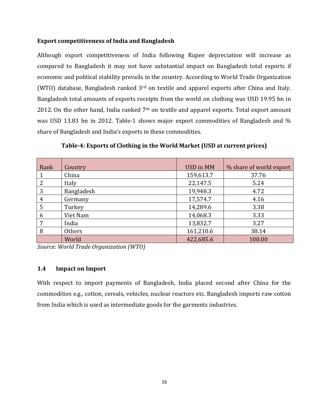#### **Export competitiveness of India and Bangladesh**

Although export competitiveness of India following Rupee depreciation will increase as compared to Bangladesh it may not have substantial impact on Bangladesh total exports if economic and political stability prevails in the country. According to World Trade Organization (WTO) database, Bangladesh ranked  $3<sup>rd</sup>$  on textile and apparel exports after China and Italy. Bangladesh total amounts of exports receipts from the world on clothing was USD 19.95 bn in 2012. On the other hand, India ranked  $7<sup>th</sup>$  on textile and apparel exports. Total export amount was USD 13.83 bn in 2012. Table-1 shows major export commodities of Bangladesh and % share of Bangladesh and India's exports in these commodities.

| Rank | Country    | <b>USD in MM</b> | % share of world export |
|------|------------|------------------|-------------------------|
|      | China      | 159,613.7        | 37.76                   |
| 2    | Italy      | 22,147.5         | 5.24                    |
| 3    | Bangladesh | 19,948.3         | 4.72                    |
| 4    | Germany    | 17,574.7         | 4.16                    |
| 5    | Turkey     | 14,289.6         | 3.38                    |
| 6    | Viet Nam   | 14,068.3         | 3.33                    |
| 7    | India      | 13,832.7         | 3.27                    |
| 8    | Others     | 161,210.6        | 38.14                   |
|      | World      | 422,685.6        | 100.00                  |

**Table4: Exports of Clothing in the World Market (USD at current prices)**

*Source: World Trade Organization (WTO)*

#### **1.4 Impact on Import**

With respect to import payments of Bangladesh, India placed second after China for the commodities e.g., cotton, cereals, vehicles, nuclear reactors etc. Bangladesh imports raw cotton from India which is used as intermediate goods for the garments industries.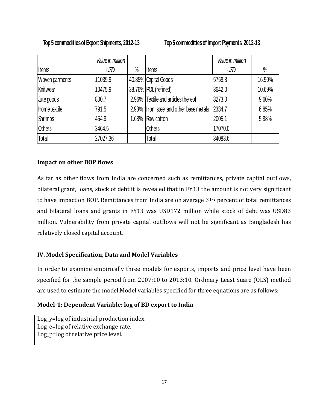### **Top 5 commodities of Export Shipments, 2012-13 Top 5 commodities of Import Payments, 2012-13**

|                | Value in million |      |                                                | Value in million |        |
|----------------|------------------|------|------------------------------------------------|------------------|--------|
| <b>Items</b>   | USD              | $\%$ | <b>Items</b>                                   | USD              | $\%$   |
| Woven garments | 11039.9          |      | 40.85% Capital Goods                           | 5758.8           | 16.90% |
| Knitwear       | 10475.9          |      | 38.76% POL (refined)                           | 3642.0           | 10.69% |
| Jute goods     | 800.7            |      | 2.96% Textile and articles thereof             | 3273.0           | 9.60%  |
| Home textile   | 791.5            |      | 2.93% Iron, steel and other base metals 2334.7 |                  | 6.85%  |
| <b>Shrimps</b> | 454.9            |      | 1.68% Raw cotton                               | 2005.1           | 5.88%  |
| <b>Others</b>  | 3464.5           |      | <b>Others</b>                                  | 17070.0          |        |
| Total          | 27027.36         |      | Total                                          | 34083.6          |        |

#### **Impact on other BOP flows**

As far as other flows from India are concerned such as remittances, private capital outflows, bilateral grant, loans, stock of debt it is revealed that in FY13 the amount is not very significant to have impact on BOP. Remittances from India are on average 31/2 percent of total remittances and bilateral loans and grants in FY13 was USD172 million while stock of debt was USD83 million. Vulnerability from private capital outflows will not be significant as Bangladesh has relatively closed capital account.

#### **IV. Model Specification, Data and Model Variables**

In order to examine empirically three models for exports, imports and price level have been specified for the sample period from 2007:10 to 2013:10. Ordinary Least Suare (OLS) method are used to estimate the model.Model variables specified for three equations are as follows:

#### **Model1: Dependent Variable: log of BD export to India**

Log\_y=log of industrial production index. Log\_e=log of relative exchange rate. Log\_p=log of relative price level.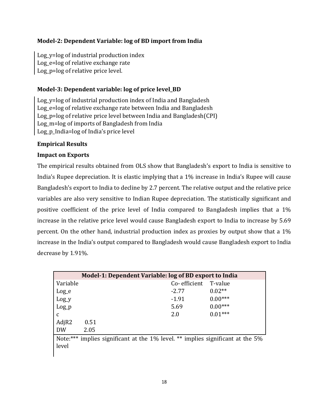#### **Model2: Dependent Variable: log of BD import from India**

Log y=log of industrial production index Log e=log of relative exchange rate Log p=log of relative price level.

#### **Model3: Dependent variable: log of price level\_BD**

Log\_y=log of industrial production index of India and Bangladesh Log\_e=log of relative exchange rate between India and Bangladesh Log\_p=log of relative price level between India and Bangladesh(CPI) Log\_m=log of imports of Bangladesh from India Log\_p\_India=log of India's price level

#### **Empirical Results**

#### **Impact on Exports**

The empirical results obtained from OLS show that Bangladesh's export to India is sensitive to India's Rupee depreciation. It is elastic implying that a 1% increase in India's Rupee will cause Bangladesh's export to India to decline by 2.7 percent. The relative output and the relative price variables are also very sensitive to Indian Rupee depreciation. The statistically significant and positive coefficient of the price level of India compared to Bangladesh implies that a 1% increase in the relative price level would cause Bangladesh export to India to increase by 5.69 percent. On the other hand, industrial production index as proxies by output show that a 1% increase in the India's output compared to Bangladesh would cause Bangladesh export to India decrease by 1.91%.

| Model-1: Dependent Variable: log of BD export to India                         |      |              |           |  |  |
|--------------------------------------------------------------------------------|------|--------------|-----------|--|--|
| Variable                                                                       |      | Co-efficient | T-value   |  |  |
| $Log_e$                                                                        |      | $-2.77$      | $0.02**$  |  |  |
| $Log_y$                                                                        |      | $-1.91$      | $0.00***$ |  |  |
| $Log_p$                                                                        |      | 5.69         | $0.00***$ |  |  |
| C                                                                              |      | 2.0          | $0.01***$ |  |  |
| AdjR2                                                                          | 0.51 |              |           |  |  |
| <b>DW</b>                                                                      | 2.05 |              |           |  |  |
| Note:*** implies significant at the 1% level. ** implies significant at the 5% |      |              |           |  |  |

Note:\*\*\* implies significant at the 1% level. <sup>\*\*</sup> implies significant at the 5% level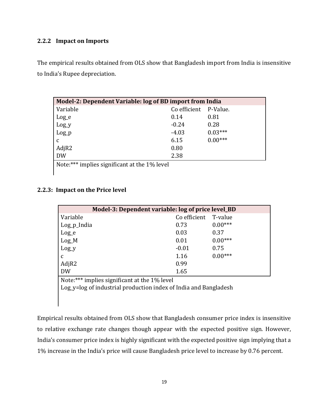#### **2.2.2 Impact on Imports**

The empirical results obtained from OLS show that Bangladesh import from India is insensitive to India's Rupee depreciation.

| Model-2: Dependent Variable: log of BD import from India |              |           |  |  |  |
|----------------------------------------------------------|--------------|-----------|--|--|--|
| Variable                                                 | Co efficient | P-Value.  |  |  |  |
| $Log_e$                                                  | 0.14         | 0.81      |  |  |  |
| Log_y                                                    | $-0.24$      | 0.28      |  |  |  |
| $Log_p$                                                  | $-4.03$      | $0.03***$ |  |  |  |
| C                                                        | 6.15         | $0.00***$ |  |  |  |
| AdjR2                                                    | 0.80         |           |  |  |  |
| <b>DW</b>                                                | 2.38         |           |  |  |  |

Note:\*\*\* implies significant at the  $1\%$  level

#### **2.2.3: Impact on the Price level**

| Model-3: Dependent variable: log of price level_BD                                                                                                |              |           |  |  |  |
|---------------------------------------------------------------------------------------------------------------------------------------------------|--------------|-----------|--|--|--|
| Variable                                                                                                                                          | Co efficient | T-value   |  |  |  |
| Log_p_India                                                                                                                                       | 0.73         | $0.00***$ |  |  |  |
| $Log_e$                                                                                                                                           | 0.03         | 0.37      |  |  |  |
| $Log_M$                                                                                                                                           | 0.01         | $0.00***$ |  |  |  |
| $Log_y$                                                                                                                                           | $-0.01$      | 0.75      |  |  |  |
| $\mathbf{C}$                                                                                                                                      | 1.16         | $0.00***$ |  |  |  |
| AdjR2                                                                                                                                             | 0.99         |           |  |  |  |
| <b>DW</b>                                                                                                                                         | 1.65         |           |  |  |  |
| $\mathbf{M}$ , $\forall \forall \forall$ , $\mathbf{I}$ , $\mathbf{C}$ , $\mathbf{I}$ , $\mathbf{I}$ , $\mathbf{A}$ , $\mathbf{I}$ , $\mathbf{I}$ |              |           |  |  |  |

Note:\*\*\* implies significant at the 1% level

Log\_y=log of industrial production index of India and Bangladesh

Empirical results obtained from OLS show that Bangladesh consumer price index is insensitive to relative exchange rate changes though appear with the expected positive sign. However, India's consumer price index is highly significant with the expected positive sign implying that a 1% increase in the India's price will cause Bangladesh price level to increase by 0.76 percent.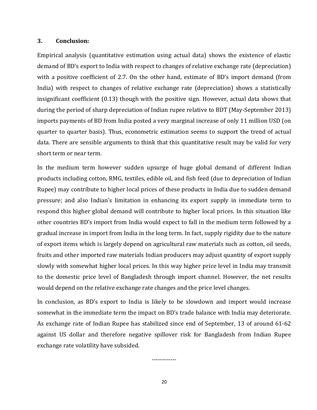#### **3. Conclusion:**

Empirical analysis (quantitative estimation using actual data) shows the existence of elastic demand of BD's export to India with respect to changes of relative exchange rate (depreciation) with a positive coefficient of 2.7. On the other hand, estimate of BD's import demand (from India) with respect to changes of relative exchange rate (depreciation) shows a statistically insignificant coefficient (0.13) though with the positive sign. However, actual data shows that during the period of sharp depreciation of Indian rupee relative to BDT (May‐September 2013) imports payments of BD from India posted a very marginal increase of only 11 million USD (on quarter to quarter basis). Thus, econometric estimation seems to support the trend of actual data. There are sensible arguments to think that this quantitative result may be valid for very short term or near term.

In the medium term however sudden upsurge of huge global demand of different Indian products including cotton, RMG, textiles, edible oil, and fish feed (due to depreciation of Indian Rupee) may contribute to higher local prices of these products in India due to sudden demand pressure; and also Indian's limitation in enhancing its export supply in immediate term to respond this higher global demand will contribute to higher local prices. In this situation like other countries BD's import from India would expect to fall in the medium term followed by a gradual increase in import from India in the long term. In fact, supply rigidity due to the nature of export items which is largely depend on agricultural raw materials such as cotton, oil seeds, fruits and other imported raw materials Indian producers may adjust quantity of export supply slowly with somewhat higher local prices. In this way higher price level in India may transmit to the domestic price level of Bangladesh through import channel. However, the net results would depend on the relative exchange rate changes and the price level changes.

In conclusion, as BD's export to India is likely to be slowdown and import would increase somewhat in the immediate term the impact on BD's trade balance with India may deteriorate. As exchange rate of Indian Rupee has stabilized since end of September, 13 of around 61‐62 against US dollar and therefore negative spillover risk for Bangladesh from Indian Rupee exchange rate volatility have subsided.

‐‐‐‐‐‐‐‐‐‐‐‐